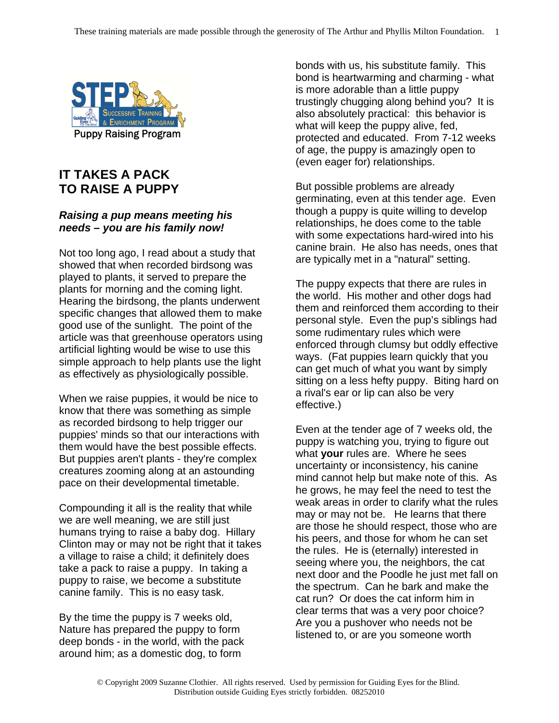

## **IT TAKES A PACK TO RAISE A PUPPY**

## *Raising a pup means meeting his needs – you are his family now!*

Not too long ago, I read about a study that showed that when recorded birdsong was played to plants, it served to prepare the plants for morning and the coming light. Hearing the birdsong, the plants underwent specific changes that allowed them to make good use of the sunlight. The point of the article was that greenhouse operators using artificial lighting would be wise to use this simple approach to help plants use the light as effectively as physiologically possible.

When we raise puppies, it would be nice to know that there was something as simple as recorded birdsong to help trigger our puppies' minds so that our interactions with them would have the best possible effects. But puppies aren't plants - they're complex creatures zooming along at an astounding pace on their developmental timetable.

Compounding it all is the reality that while we are well meaning, we are still just humans trying to raise a baby dog. Hillary Clinton may or may not be right that it takes a village to raise a child; it definitely does take a pack to raise a puppy. In taking a puppy to raise, we become a substitute canine family. This is no easy task.

By the time the puppy is 7 weeks old, Nature has prepared the puppy to form deep bonds - in the world, with the pack around him; as a domestic dog, to form

bonds with us, his substitute family. This bond is heartwarming and charming - what is more adorable than a little puppy trustingly chugging along behind you? It is also absolutely practical: this behavior is what will keep the puppy alive, fed, protected and educated. From 7-12 weeks of age, the puppy is amazingly open to (even eager for) relationships.

But possible problems are already germinating, even at this tender age. Even though a puppy is quite willing to develop relationships, he does come to the table with some expectations hard-wired into his canine brain. He also has needs, ones that are typically met in a "natural" setting.

The puppy expects that there are rules in the world. His mother and other dogs had them and reinforced them according to their personal style. Even the pup's siblings had some rudimentary rules which were enforced through clumsy but oddly effective ways. (Fat puppies learn quickly that you can get much of what you want by simply sitting on a less hefty puppy. Biting hard on a rival's ear or lip can also be very effective.)

Even at the tender age of 7 weeks old, the puppy is watching you, trying to figure out what **your** rules are. Where he sees uncertainty or inconsistency, his canine mind cannot help but make note of this. As he grows, he may feel the need to test the weak areas in order to clarify what the rules may or may not be. He learns that there are those he should respect, those who are his peers, and those for whom he can set the rules. He is (eternally) interested in seeing where you, the neighbors, the cat next door and the Poodle he just met fall on the spectrum. Can he bark and make the cat run? Or does the cat inform him in clear terms that was a very poor choice? Are you a pushover who needs not be listened to, or are you someone worth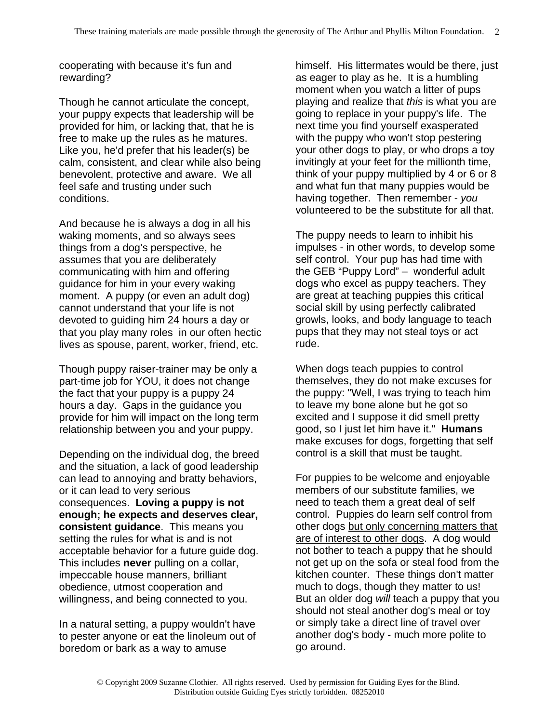cooperating with because it's fun and rewarding?

Though he cannot articulate the concept, your puppy expects that leadership will be provided for him, or lacking that, that he is free to make up the rules as he matures. Like you, he'd prefer that his leader(s) be calm, consistent, and clear while also being benevolent, protective and aware. We all feel safe and trusting under such conditions.

And because he is always a dog in all his waking moments, and so always sees things from a dog's perspective, he assumes that you are deliberately communicating with him and offering guidance for him in your every waking moment. A puppy (or even an adult dog) cannot understand that your life is not devoted to guiding him 24 hours a day or that you play many roles in our often hectic lives as spouse, parent, worker, friend, etc.

Though puppy raiser-trainer may be only a part-time job for YOU, it does not change the fact that your puppy is a puppy 24 hours a day. Gaps in the guidance you provide for him will impact on the long term relationship between you and your puppy.

Depending on the individual dog, the breed and the situation, a lack of good leadership can lead to annoying and bratty behaviors, or it can lead to very serious consequences. **Loving a puppy is not enough; he expects and deserves clear, consistent guidance**. This means you setting the rules for what is and is not acceptable behavior for a future guide dog. This includes **never** pulling on a collar, impeccable house manners, brilliant obedience, utmost cooperation and willingness, and being connected to you.

In a natural setting, a puppy wouldn't have to pester anyone or eat the linoleum out of boredom or bark as a way to amuse

himself. His littermates would be there, just as eager to play as he. It is a humbling moment when you watch a litter of pups playing and realize that *this* is what you are going to replace in your puppy's life. The next time you find yourself exasperated with the puppy who won't stop pestering your other dogs to play, or who drops a toy invitingly at your feet for the millionth time, think of your puppy multiplied by 4 or 6 or 8 and what fun that many puppies would be having together. Then remember - *you* volunteered to be the substitute for all that.

The puppy needs to learn to inhibit his impulses - in other words, to develop some self control. Your pup has had time with the GEB "Puppy Lord" – wonderful adult dogs who excel as puppy teachers. They are great at teaching puppies this critical social skill by using perfectly calibrated growls, looks, and body language to teach pups that they may not steal toys or act rude.

When dogs teach puppies to control themselves, they do not make excuses for the puppy: "Well, I was trying to teach him to leave my bone alone but he got so excited and I suppose it did smell pretty good, so I just let him have it." **Humans** make excuses for dogs, forgetting that self control is a skill that must be taught.

For puppies to be welcome and enjoyable members of our substitute families, we need to teach them a great deal of self control. Puppies do learn self control from other dogs but only concerning matters that are of interest to other dogs. A dog would not bother to teach a puppy that he should not get up on the sofa or steal food from the kitchen counter. These things don't matter much to dogs, though they matter to us! But an older dog *will* teach a puppy that you should not steal another dog's meal or toy or simply take a direct line of travel over another dog's body - much more polite to go around.